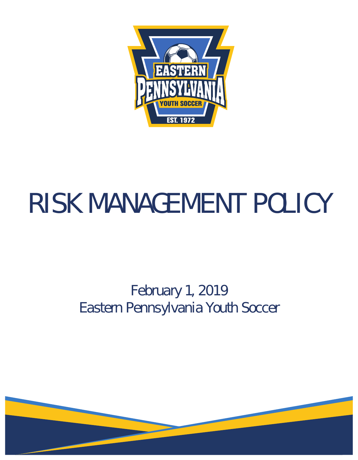

# RISK MANAGEMENT POLICY

## February 1, 2019 Eastern Pennsylvania Youth Soccer

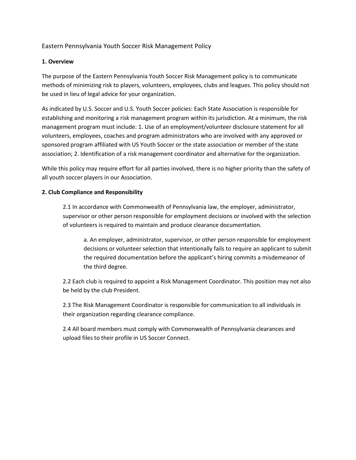Eastern Pennsylvania Youth Soccer Risk Management Policy

#### **1. Overview**

The purpose of the Eastern Pennsylvania Youth Soccer Risk Management policy is to communicate methods of minimizing risk to players, volunteers, employees, clubs and leagues. This policy should not be used in lieu of legal advice for your organization.

As indicated by U.S. Soccer and U.S. Youth Soccer policies: Each State Association is responsible for establishing and monitoring a risk management program within its jurisdiction. At a minimum, the risk management program must include: 1. Use of an employment/volunteer disclosure statement for all volunteers, employees, coaches and program administrators who are involved with any approved or sponsored program affiliated with US Youth Soccer or the state association or member of the state association; 2. Identification of a risk management coordinator and alternative for the organization.

While this policy may require effort for all parties involved, there is no higher priority than the safety of all youth soccer players in our Association.

#### **2. Club Compliance and Responsibility**

2.1 In accordance with Commonwealth of Pennsylvania law, the employer, administrator, supervisor or other person responsible for employment decisions or involved with the selection of volunteers is required to maintain and produce clearance documentation.

a. An employer, administrator, supervisor, or other person responsible for employment decisions or volunteer selection that intentionally fails to require an applicant to submit the required documentation before the applicant's hiring commits a misdemeanor of the third degree.

2.2 Each club is required to appoint a Risk Management Coordinator. This position may not also be held by the club President.

2.3 The Risk Management Coordinator is responsible for communication to all individuals in their organization regarding clearance compliance.

2.4 All board members must comply with Commonwealth of Pennsylvania clearances and upload files to their profile in US Soccer Connect.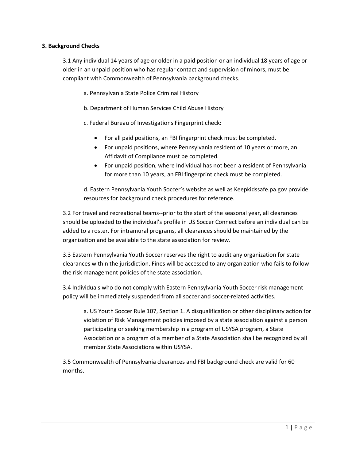#### **3. Background Checks**

3.1 Any individual 14 years of age or older in a paid position or an individual 18 years of age or older in an unpaid position who has regular contact and supervision of minors, must be compliant with Commonwealth of Pennsylvania background checks.

a. Pennsylvania State Police Criminal History

b. Department of Human Services Child Abuse History

c. Federal Bureau of Investigations Fingerprint check:

- For all paid positions, an FBI fingerprint check must be completed.
- For unpaid positions, where Pennsylvania resident of 10 years or more, an Affidavit of Compliance must be completed.
- For unpaid position, where Individual has not been a resident of Pennsylvania for more than 10 years, an FBI fingerprint check must be completed.

d. Eastern Pennsylvania Youth Soccer's website as well as Keepkidssafe.pa.gov provide resources for background check procedures for reference.

3.2 For travel and recreational teams--prior to the start of the seasonal year, all clearances should be uploaded to the individual's profile in US Soccer Connect before an individual can be added to a roster. For intramural programs, all clearances should be maintained by the organization and be available to the state association for review.

3.3 Eastern Pennsylvania Youth Soccer reserves the right to audit any organization for state clearances within the jurisdiction. Fines will be accessed to any organization who fails to follow the risk management policies of the state association.

3.4 Individuals who do not comply with Eastern Pennsylvania Youth Soccer risk management policy will be immediately suspended from all soccer and soccer-related activities.

a. US Youth Soccer Rule 107, Section 1. A disqualification or other disciplinary action for violation of Risk Management policies imposed by a state association against a person participating or seeking membership in a program of USYSA program, a State Association or a program of a member of a State Association shall be recognized by all member State Associations within USYSA.

3.5 Commonwealth of Pennsylvania clearances and FBI background check are valid for 60 months.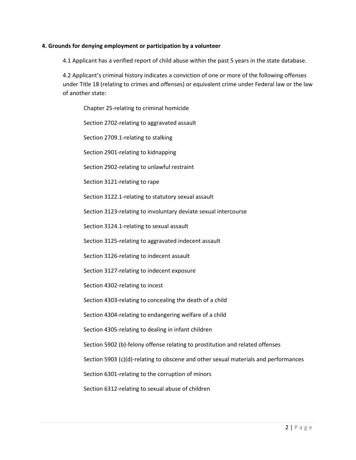#### **4. Grounds for denying employment or participation by a volunteer**

4.1 Applicant has a verified report of child abuse within the past 5 years in the state database.

4.2 Applicant's criminal history indicates a conviction of one or more of the following offenses under Title 18 (relating to crimes and offenses) or equivalent crime under Federal law or the law of another state:

Chapter 25-relating to criminal homicide

Section 2702-relating to aggravated assault

Section 2709.1-relating to stalking

Section 2901-relating to kidnapping

Section 2902-relating to unlawful restraint

Section 3121-relating to rape

Section 3122.1-relating to statutory sexual assault

Section 3123-relating to involuntary deviate sexual intercourse

Section 3124.1-relating to sexual assault

Section 3125-relating to aggravated indecent assault

Section 3126-relating to indecent assault

Section 3127-relating to indecent exposure

Section 4302-relating to incest

Section 4303-relating to concealing the death of a child

Section 4304-relating to endangering welfare of a child

Section 4305-relating to dealing in infant children

Section 5902 (b)-felony offense relating to prostitution and related offenses

Section 5903 (c)(d)-relating to obscene and other sexual materials and performances

Section 6301-relating to the corruption of minors

Section 6312-relating to sexual abuse of children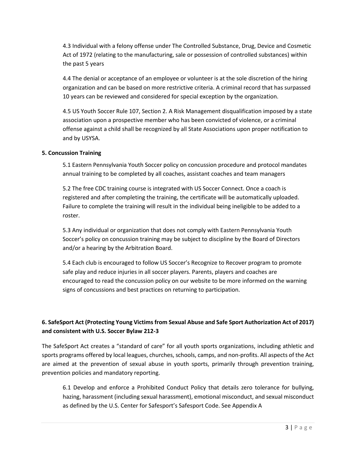4.3 Individual with a felony offense under The Controlled Substance, Drug, Device and Cosmetic Act of 1972 (relating to the manufacturing, sale or possession of controlled substances) within the past 5 years

4.4 The denial or acceptance of an employee or volunteer is at the sole discretion of the hiring organization and can be based on more restrictive criteria. A criminal record that has surpassed 10 years can be reviewed and considered for special exception by the organization.

4.5 US Youth Soccer Rule 107, Section 2. A Risk Management disqualification imposed by a state association upon a prospective member who has been convicted of violence, or a criminal offense against a child shall be recognized by all State Associations upon proper notification to and by USYSA.

#### **5. Concussion Training**

5.1 Eastern Pennsylvania Youth Soccer policy on concussion procedure and protocol mandates annual training to be completed by all coaches, assistant coaches and team managers

5.2 The free CDC training course is integrated with US Soccer Connect. Once a coach is registered and after completing the training, the certificate will be automatically uploaded. Failure to complete the training will result in the individual being ineligible to be added to a roster.

5.3 Any individual or organization that does not comply with Eastern Pennsylvania Youth Soccer's policy on concussion training may be subject to discipline by the Board of Directors and/or a hearing by the Arbitration Board.

5.4 Each club is encouraged to follow US Soccer's Recognize to Recover program to promote safe play and reduce injuries in all soccer players. Parents, players and coaches are encouraged to read the concussion policy on our website to be more informed on the warning signs of concussions and best practices on returning to participation.

### **6. SafeSport Act (Protecting Young Victims from Sexual Abuse and Safe Sport Authorization Act of 2017) and consistent with U.S. Soccer Bylaw 212-3**

The SafeSport Act creates a "standard of care" for all youth sports organizations, including athletic and sports programs offered by local leagues, churches, schools, camps, and non-profits. All aspects of the Act are aimed at the prevention of sexual abuse in youth sports, primarily through prevention training, prevention policies and mandatory reporting.

6.1 Develop and enforce a Prohibited Conduct Policy that details zero tolerance for bullying, hazing, harassment (including sexual harassment), emotional misconduct, and sexual misconduct as defined by the U.S. Center for Safesport's Safesport Code. See Appendix A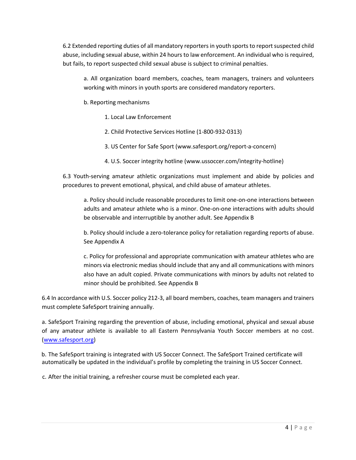6.2 Extended reporting duties of all mandatory reportersin youth sportsto report suspected child abuse, including sexual abuse, within 24 hours to law enforcement. An individual who is required, but fails, to report suspected child sexual abuse is subject to criminal penalties.

a. All organization board members, coaches, team managers, trainers and volunteers working with minors in youth sports are considered mandatory reporters.

- b. Reporting mechanisms
	- 1. Local Law Enforcement
	- 2. Child Protective Services Hotline (1-800-932-0313)
	- 3. US Center for Safe Sport (www.safesport.org/report-a-concern)
	- 4. U.S. Soccer integrity hotline (www.ussoccer.com/integrity-hotline)

6.3 Youth-serving amateur athletic organizations must implement and abide by policies and procedures to prevent emotional, physical, and child abuse of amateur athletes.

a. Policy should include reasonable procedures to limit one-on-one interactions between adults and amateur athlete who is a minor. One-on-one interactions with adults should be observable and interruptible by another adult. See Appendix B

b. Policy should include a zero-tolerance policy for retaliation regarding reports of abuse. See Appendix A

c. Policy for professional and appropriate communication with amateur athletes who are minors via electronic medias should include that any and all communications with minors also have an adult copied. Private communications with minors by adults not related to minor should be prohibited. See Appendix B

6.4 In accordance with U.S. Soccer policy 212-3, all board members, coaches, team managers and trainers must complete SafeSport training annually.

a. SafeSport Training regarding the prevention of abuse, including emotional, physical and sexual abuse of any amateur athlete is available to all Eastern Pennsylvania Youth Soccer members at no cost. [\(www.safesport.org\)](http://www.safesport.org/)

b. The SafeSport training is integrated with US Soccer Connect. The SafeSport Trained certificate will automatically be updated in the individual's profile by completing the training in US Soccer Connect.

c. After the initial training, a refresher course must be completed each year.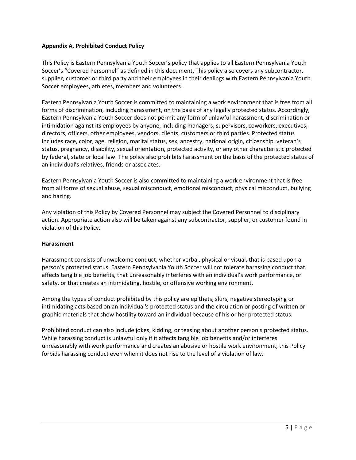#### **Appendix A, Prohibited Conduct Policy**

This Policy is Eastern Pennsylvania Youth Soccer's policy that applies to all Eastern Pennsylvania Youth Soccer's "Covered Personnel" as defined in this document. This policy also covers any subcontractor, supplier, customer or third party and their employees in their dealings with Eastern Pennsylvania Youth Soccer employees, athletes, members and volunteers.

Eastern Pennsylvania Youth Soccer is committed to maintaining a work environment that is free from all forms of discrimination, including harassment, on the basis of any legally protected status. Accordingly, Eastern Pennsylvania Youth Soccer does not permit any form of unlawful harassment, discrimination or intimidation against its employees by anyone, including managers, supervisors, coworkers, executives, directors, officers, other employees, vendors, clients, customers or third parties. Protected status includes race, color, age, religion, marital status, sex, ancestry, national origin, citizenship, veteran's status, pregnancy, disability, sexual orientation, protected activity, or any other characteristic protected by federal, state or local law. The policy also prohibits harassment on the basis of the protected status of an individual's relatives, friends or associates.

Eastern Pennsylvania Youth Soccer is also committed to maintaining a work environment that is free from all forms of sexual abuse, sexual misconduct, emotional misconduct, physical misconduct, bullying and hazing.

Any violation of this Policy by Covered Personnel may subject the Covered Personnel to disciplinary action. Appropriate action also will be taken against any subcontractor, supplier, or customer found in violation of this Policy.

#### **Harassment**

Harassment consists of unwelcome conduct, whether verbal, physical or visual, that is based upon a person's protected status. Eastern Pennsylvania Youth Soccer will not tolerate harassing conduct that affects tangible job benefits, that unreasonably interferes with an individual's work performance, or safety, or that creates an intimidating, hostile, or offensive working environment.

Among the types of conduct prohibited by this policy are epithets, slurs, negative stereotyping or intimidating acts based on an individual's protected status and the circulation or posting of written or graphic materials that show hostility toward an individual because of his or her protected status.

Prohibited conduct can also include jokes, kidding, or teasing about another person's protected status. While harassing conduct is unlawful only if it affects tangible job benefits and/or interferes unreasonably with work performance and creates an abusive or hostile work environment, this Policy forbids harassing conduct even when it does not rise to the level of a violation of law.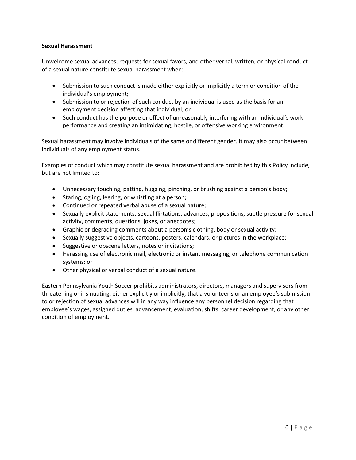#### **Sexual Harassment**

Unwelcome sexual advances, requests for sexual favors, and other verbal, written, or physical conduct of a sexual nature constitute sexual harassment when:

- Submission to such conduct is made either explicitly or implicitly a term or condition of the individual's employment;
- Submission to or rejection of such conduct by an individual is used as the basis for an employment decision affecting that individual; or
- Such conduct has the purpose or effect of unreasonably interfering with an individual's work performance and creating an intimidating, hostile, or offensive working environment.

Sexual harassment may involve individuals of the same or different gender. It may also occur between individuals of any employment status.

Examples of conduct which may constitute sexual harassment and are prohibited by this Policy include, but are not limited to:

- Unnecessary touching, patting, hugging, pinching, or brushing against a person's body;
- Staring, ogling, leering, or whistling at a person;
- Continued or repeated verbal abuse of a sexual nature;
- Sexually explicit statements, sexual flirtations, advances, propositions, subtle pressure for sexual activity, comments, questions, jokes, or anecdotes;
- Graphic or degrading comments about a person's clothing, body or sexual activity;
- Sexually suggestive objects, cartoons, posters, calendars, or pictures in the workplace;
- Suggestive or obscene letters, notes or invitations;
- Harassing use of electronic mail, electronic or instant messaging, or telephone communication systems; or
- Other physical or verbal conduct of a sexual nature.

Eastern Pennsylvania Youth Soccer prohibits administrators, directors, managers and supervisors from threatening or insinuating, either explicitly or implicitly, that a volunteer's or an employee's submission to or rejection of sexual advances will in any way influence any personnel decision regarding that employee's wages, assigned duties, advancement, evaluation, shifts, career development, or any other condition of employment.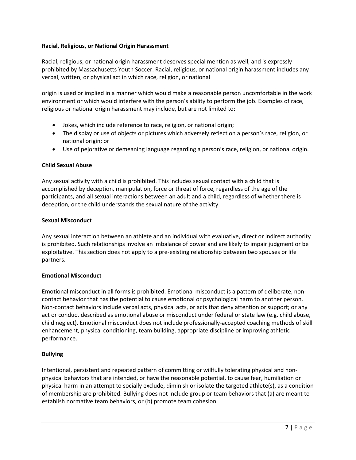#### **Racial, Religious, or National Origin Harassment**

Racial, religious, or national origin harassment deserves special mention as well, and is expressly prohibited by Massachusetts Youth Soccer. Racial, religious, or national origin harassment includes any verbal, written, or physical act in which race, religion, or national

origin is used or implied in a manner which would make a reasonable person uncomfortable in the work environment or which would interfere with the person's ability to perform the job. Examples of race, religious or national origin harassment may include, but are not limited to:

- Jokes, which include reference to race, religion, or national origin;
- The display or use of objects or pictures which adversely reflect on a person's race, religion, or national origin; or
- Use of pejorative or demeaning language regarding a person's race, religion, or national origin.

#### **Child Sexual Abuse**

Any sexual activity with a child is prohibited. This includes sexual contact with a child that is accomplished by deception, manipulation, force or threat of force, regardless of the age of the participants, and all sexual interactions between an adult and a child, regardless of whether there is deception, or the child understands the sexual nature of the activity.

#### **Sexual Misconduct**

Any sexual interaction between an athlete and an individual with evaluative, direct or indirect authority is prohibited. Such relationships involve an imbalance of power and are likely to impair judgment or be exploitative. This section does not apply to a pre-existing relationship between two spouses or life partners.

#### **Emotional Misconduct**

Emotional misconduct in all forms is prohibited. Emotional misconduct is a pattern of deliberate, noncontact behavior that has the potential to cause emotional or psychological harm to another person. Non-contact behaviors include verbal acts, physical acts, or acts that deny attention or support; or any act or conduct described as emotional abuse or misconduct under federal or state law (e.g. child abuse, child neglect). Emotional misconduct does not include professionally-accepted coaching methods of skill enhancement, physical conditioning, team building, appropriate discipline or improving athletic performance.

#### **Bullying**

Intentional, persistent and repeated pattern of committing or willfully tolerating physical and nonphysical behaviors that are intended, or have the reasonable potential, to cause fear, humiliation or physical harm in an attempt to socially exclude, diminish or isolate the targeted athlete(s), as a condition of membership are prohibited. Bullying does not include group or team behaviors that (a) are meant to establish normative team behaviors, or (b) promote team cohesion.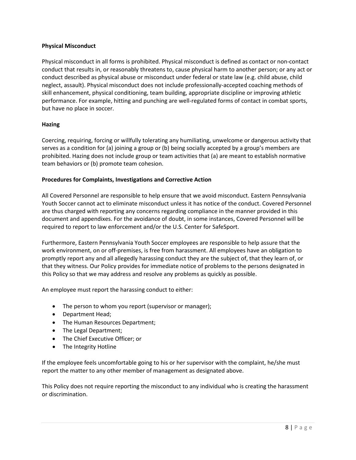#### **Physical Misconduct**

Physical misconduct in all forms is prohibited. Physical misconduct is defined as contact or non-contact conduct that results in, or reasonably threatens to, cause physical harm to another person; or any act or conduct described as physical abuse or misconduct under federal or state law (e.g. child abuse, child neglect, assault). Physical misconduct does not include professionally-accepted coaching methods of skill enhancement, physical conditioning, team building, appropriate discipline or improving athletic performance. For example, hitting and punching are well-regulated forms of contact in combat sports, but have no place in soccer.

#### **Hazing**

Coercing, requiring, forcing or willfully tolerating any humiliating, unwelcome or dangerous activity that serves as a condition for (a) joining a group or (b) being socially accepted by a group's members are prohibited. Hazing does not include group or team activities that (a) are meant to establish normative team behaviors or (b) promote team cohesion.

#### **Procedures for Complaints, Investigations and Corrective Action**

All Covered Personnel are responsible to help ensure that we avoid misconduct. Eastern Pennsylvania Youth Soccer cannot act to eliminate misconduct unless it has notice of the conduct. Covered Personnel are thus charged with reporting any concerns regarding compliance in the manner provided in this document and appendixes. For the avoidance of doubt, in some instances, Covered Personnel will be required to report to law enforcement and/or the U.S. Center for SafeSport.

Furthermore, Eastern Pennsylvania Youth Soccer employees are responsible to help assure that the work environment, on or off-premises, is free from harassment. All employees have an obligation to promptly report any and all allegedly harassing conduct they are the subject of, that they learn of, or that they witness. Our Policy provides for immediate notice of problems to the persons designated in this Policy so that we may address and resolve any problems as quickly as possible.

An employee must report the harassing conduct to either:

- The person to whom you report (supervisor or manager);
- Department Head;
- The Human Resources Department;
- The Legal Department;
- The Chief Executive Officer; or
- The Integrity Hotline

If the employee feels uncomfortable going to his or her supervisor with the complaint, he/she must report the matter to any other member of management as designated above.

This Policy does not require reporting the misconduct to any individual who is creating the harassment or discrimination.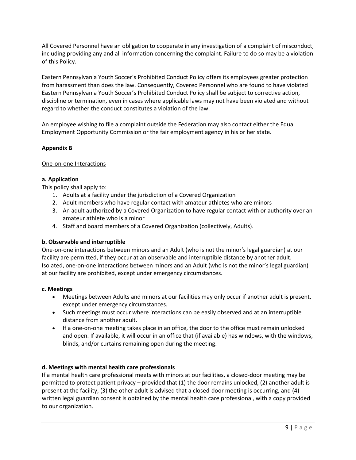All Covered Personnel have an obligation to cooperate in any investigation of a complaint of misconduct, including providing any and all information concerning the complaint. Failure to do so may be a violation of this Policy.

Eastern Pennsylvania Youth Soccer's Prohibited Conduct Policy offers its employees greater protection from harassment than does the law. Consequently, Covered Personnel who are found to have violated Eastern Pennsylvania Youth Soccer's Prohibited Conduct Policy shall be subject to corrective action, discipline or termination, even in cases where applicable laws may not have been violated and without regard to whether the conduct constitutes a violation of the law.

An employee wishing to file a complaint outside the Federation may also contact either the Equal Employment Opportunity Commission or the fair employment agency in his or her state.

#### **Appendix B**

#### One-on-one Interactions

#### **a. Application**

This policy shall apply to:

- 1. Adults at a facility under the jurisdiction of a Covered Organization
- 2. Adult members who have regular contact with amateur athletes who are minors
- 3. An adult authorized by a Covered Organization to have regular contact with or authority over an amateur athlete who is a minor
- 4. Staff and board members of a Covered Organization (collectively, Adults).

#### **b. Observable and interruptible**

One-on-one interactions between minors and an Adult (who is not the minor's legal guardian) at our facility are permitted, if they occur at an observable and interruptible distance by another adult. Isolated, one-on-one interactions between minors and an Adult (who is not the minor's legal guardian) at our facility are prohibited, except under emergency circumstances.

#### **c. Meetings**

- Meetings between Adults and minors at our facilities may only occur if another adult is present, except under emergency circumstances.
- Such meetings must occur where interactions can be easily observed and at an interruptible distance from another adult.
- If a one-on-one meeting takes place in an office, the door to the office must remain unlocked and open. If available, it will occur in an office that (if available) has windows, with the windows, blinds, and/or curtains remaining open during the meeting.

#### **d. Meetings with mental health care professionals**

If a mental health care professional meets with minors at our facilities, a closed-door meeting may be permitted to protect patient privacy – provided that (1) the door remains unlocked, (2) another adult is present at the facility, (3) the other adult is advised that a closed-door meeting is occurring, and (4) written legal guardian consent is obtained by the mental health care professional, with a copy provided to our organization.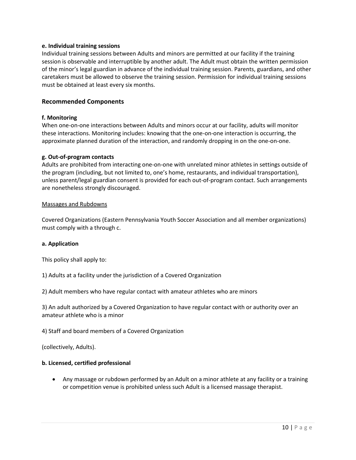#### **e. Individual training sessions**

Individual training sessions between Adults and minors are permitted at our facility if the training session is observable and interruptible by another adult. The Adult must obtain the written permission of the minor's legal guardian in advance of the individual training session. Parents, guardians, and other caretakers must be allowed to observe the training session. Permission for individual training sessions must be obtained at least every six months.

#### **Recommended Components**

#### **f. Monitoring**

When one-on-one interactions between Adults and minors occur at our facility, adults will monitor these interactions. Monitoring includes: knowing that the one-on-one interaction is occurring, the approximate planned duration of the interaction, and randomly dropping in on the one-on-one.

#### **g. Out-of-program contacts**

Adults are prohibited from interacting one-on-one with unrelated minor athletes in settings outside of the program (including, but not limited to, one's home, restaurants, and individual transportation), unless parent/legal guardian consent is provided for each out-of-program contact. Such arrangements are nonetheless strongly discouraged.

#### Massages and Rubdowns

Covered Organizations (Eastern Pennsylvania Youth Soccer Association and all member organizations) must comply with a through c.

#### **a. Application**

This policy shall apply to:

1) Adults at a facility under the jurisdiction of a Covered Organization

2) Adult members who have regular contact with amateur athletes who are minors

3) An adult authorized by a Covered Organization to have regular contact with or authority over an amateur athlete who is a minor

4) Staff and board members of a Covered Organization

(collectively, Adults).

#### **b. Licensed, certified professional**

• Any massage or rubdown performed by an Adult on a minor athlete at any facility or a training or competition venue is prohibited unless such Adult is a licensed massage therapist.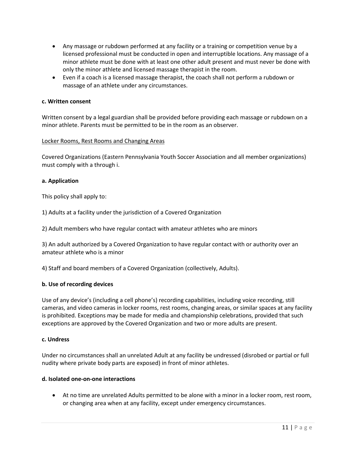- Any massage or rubdown performed at any facility or a training or competition venue by a licensed professional must be conducted in open and interruptible locations. Any massage of a minor athlete must be done with at least one other adult present and must never be done with only the minor athlete and licensed massage therapist in the room.
- Even if a coach is a licensed massage therapist, the coach shall not perform a rubdown or massage of an athlete under any circumstances.

#### **c. Written consent**

Written consent by a legal guardian shall be provided before providing each massage or rubdown on a minor athlete. Parents must be permitted to be in the room as an observer.

#### Locker Rooms, Rest Rooms and Changing Areas

Covered Organizations (Eastern Pennsylvania Youth Soccer Association and all member organizations) must comply with a through i.

#### **a. Application**

This policy shall apply to:

1) Adults at a facility under the jurisdiction of a Covered Organization

2) Adult members who have regular contact with amateur athletes who are minors

3) An adult authorized by a Covered Organization to have regular contact with or authority over an amateur athlete who is a minor

4) Staff and board members of a Covered Organization (collectively, Adults).

#### **b. Use of recording devices**

Use of any device's (including a cell phone's) recording capabilities, including voice recording, still cameras, and video cameras in locker rooms, rest rooms, changing areas, or similar spaces at any facility is prohibited. Exceptions may be made for media and championship celebrations, provided that such exceptions are approved by the Covered Organization and two or more adults are present.

#### **c. Undress**

Under no circumstances shall an unrelated Adult at any facility be undressed (disrobed or partial or full nudity where private body parts are exposed) in front of minor athletes.

#### **d. Isolated one-on-one interactions**

• At no time are unrelated Adults permitted to be alone with a minor in a locker room, rest room, or changing area when at any facility, except under emergency circumstances.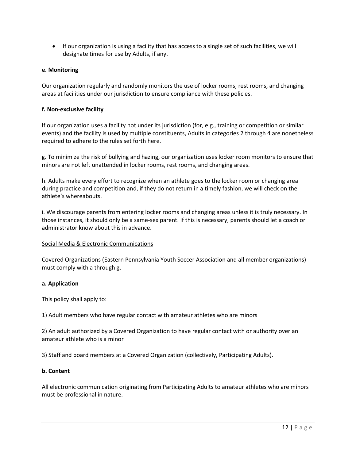• If our organization is using a facility that has access to a single set of such facilities, we will designate times for use by Adults, if any.

#### **e. Monitoring**

Our organization regularly and randomly monitors the use of locker rooms, rest rooms, and changing areas at facilities under our jurisdiction to ensure compliance with these policies.

#### **f. Non-exclusive facility**

If our organization uses a facility not under its jurisdiction (for, e.g., training or competition or similar events) and the facility is used by multiple constituents, Adults in categories 2 through 4 are nonetheless required to adhere to the rules set forth here.

g. To minimize the risk of bullying and hazing, our organization uses locker room monitors to ensure that minors are not left unattended in locker rooms, rest rooms, and changing areas.

h. Adults make every effort to recognize when an athlete goes to the locker room or changing area during practice and competition and, if they do not return in a timely fashion, we will check on the athlete's whereabouts.

i. We discourage parents from entering locker rooms and changing areas unless it is truly necessary. In those instances, it should only be a same-sex parent. If this is necessary, parents should let a coach or administrator know about this in advance.

#### Social Media & Electronic Communications

Covered Organizations (Eastern Pennsylvania Youth Soccer Association and all member organizations) must comply with a through g.

#### **a. Application**

This policy shall apply to:

1) Adult members who have regular contact with amateur athletes who are minors

2) An adult authorized by a Covered Organization to have regular contact with or authority over an amateur athlete who is a minor

3) Staff and board members at a Covered Organization (collectively, Participating Adults).

#### **b. Content**

All electronic communication originating from Participating Adults to amateur athletes who are minors must be professional in nature.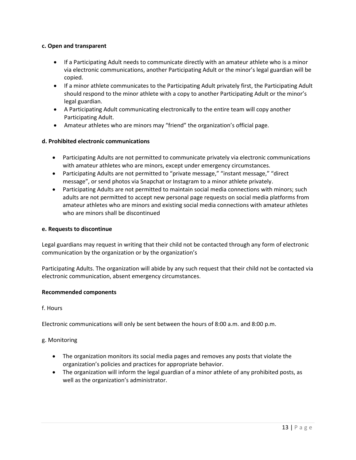#### **c. Open and transparent**

- If a Participating Adult needs to communicate directly with an amateur athlete who is a minor via electronic communications, another Participating Adult or the minor's legal guardian will be copied.
- If a minor athlete communicates to the Participating Adult privately first, the Participating Adult should respond to the minor athlete with a copy to another Participating Adult or the minor's legal guardian.
- A Participating Adult communicating electronically to the entire team will copy another Participating Adult.
- Amateur athletes who are minors may "friend" the organization's official page.

#### **d. Prohibited electronic communications**

- Participating Adults are not permitted to communicate privately via electronic communications with amateur athletes who are minors, except under emergency circumstances.
- Participating Adults are not permitted to "private message," "instant message," "direct message", or send photos via Snapchat or Instagram to a minor athlete privately.
- Participating Adults are not permitted to maintain social media connections with minors; such adults are not permitted to accept new personal page requests on social media platforms from amateur athletes who are minors and existing social media connections with amateur athletes who are minors shall be discontinued

#### **e. Requests to discontinue**

Legal guardians may request in writing that their child not be contacted through any form of electronic communication by the organization or by the organization's

Participating Adults. The organization will abide by any such request that their child not be contacted via electronic communication, absent emergency circumstances.

#### **Recommended components**

#### f. Hours

Electronic communications will only be sent between the hours of 8:00 a.m. and 8:00 p.m.

#### g. Monitoring

- The organization monitors its social media pages and removes any posts that violate the organization's policies and practices for appropriate behavior.
- The organization will inform the legal guardian of a minor athlete of any prohibited posts, as well as the organization's administrator.